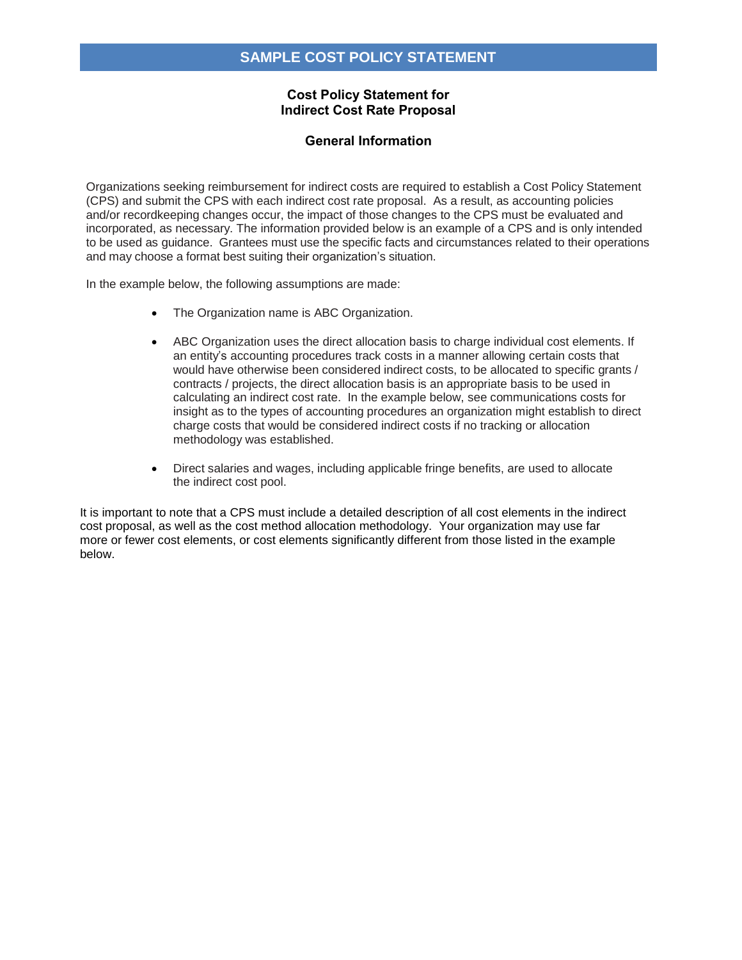## **Cost Policy Statement for Indirect Cost Rate Proposal**

# **General Information**

Organizations seeking reimbursement for indirect costs are required to establish a Cost Policy Statement (CPS) and submit the CPS with each indirect cost rate proposal. As a result, as accounting policies and/or recordkeeping changes occur, the impact of those changes to the CPS must be evaluated and incorporated, as necessary. The information provided below is an example of a CPS and is only intended to be used as guidance. Grantees must use the specific facts and circumstances related to their operations and may choose a format best suiting their organization's situation.

In the example below, the following assumptions are made:

- The Organization name is ABC Organization.
- ABC Organization uses the direct allocation basis to charge individual cost elements. If an entity's accounting procedures track costs in a manner allowing certain costs that would have otherwise been considered indirect costs, to be allocated to specific grants / contracts / projects, the direct allocation basis is an appropriate basis to be used in calculating an indirect cost rate. In the example below, see communications costs for insight as to the types of accounting procedures an organization might establish to direct charge costs that would be considered indirect costs if no tracking or allocation methodology was established.
- Direct salaries and wages, including applicable fringe benefits, are used to allocate the indirect cost pool.

It is important to note that a CPS must include a detailed description of all cost elements in the indirect cost proposal, as well as the cost method allocation methodology. Your organization may use far more or fewer cost elements, or cost elements significantly different from those listed in the example below.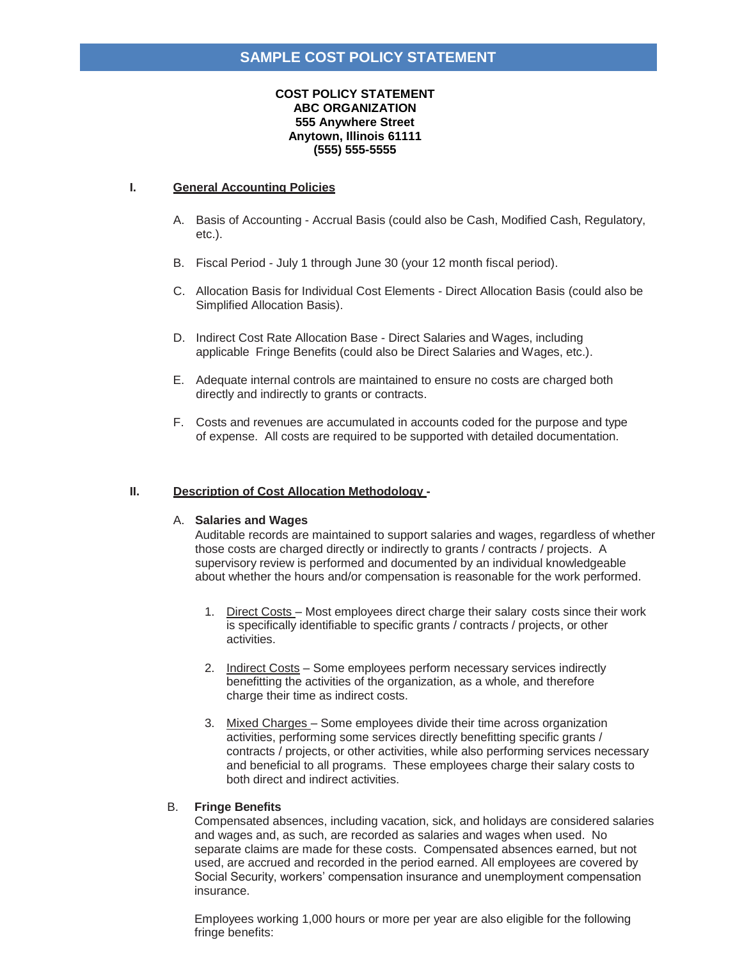#### **COST POLICY STATEMENT ABC ORGANIZATION 555 Anywhere Street Anytown, Illinois 61111 (555) 555-5555**

#### **I. General Accounting Policies**

- A. Basis of Accounting Accrual Basis (could also be Cash, Modified Cash, Regulatory, etc.).
- B. Fiscal Period July 1 through June 30 (your 12 month fiscal period).
- C. Allocation Basis for Individual Cost Elements Direct Allocation Basis (could also be Simplified Allocation Basis).
- D. Indirect Cost Rate Allocation Base Direct Salaries and Wages, including applicable Fringe Benefits (could also be Direct Salaries and Wages, etc.).
- E. Adequate internal controls are maintained to ensure no costs are charged both directly and indirectly to grants or contracts.
- F. Costs and revenues are accumulated in accounts coded for the purpose and type of expense. All costs are required to be supported with detailed documentation.

#### **II. Description of Cost Allocation Methodology -**

#### A. **Salaries and Wages**

Auditable records are maintained to support salaries and wages, regardless of whether those costs are charged directly or indirectly to grants / contracts / projects. A supervisory review is performed and documented by an individual knowledgeable about whether the hours and/or compensation is reasonable for the work performed.

- 1. Direct Costs Most employees direct charge their salary costs since their work is specifically identifiable to specific grants / contracts / projects, or other activities.
- 2. Indirect Costs Some employees perform necessary services indirectly benefitting the activities of the organization, as a whole, and therefore charge their time as indirect costs.
- 3. Mixed Charges Some employees divide their time across organization activities, performing some services directly benefitting specific grants / contracts / projects, or other activities, while also performing services necessary and beneficial to all programs. These employees charge their salary costs to both direct and indirect activities.

#### B. **Fringe Benefits**

Compensated absences, including vacation, sick, and holidays are considered salaries and wages and, as such, are recorded as salaries and wages when used. No separate claims are made for these costs. Compensated absences earned, but not used, are accrued and recorded in the period earned. All employees are covered by Social Security, workers' compensation insurance and unemployment compensation insurance.

Employees working 1,000 hours or more per year are also eligible for the following fringe benefits: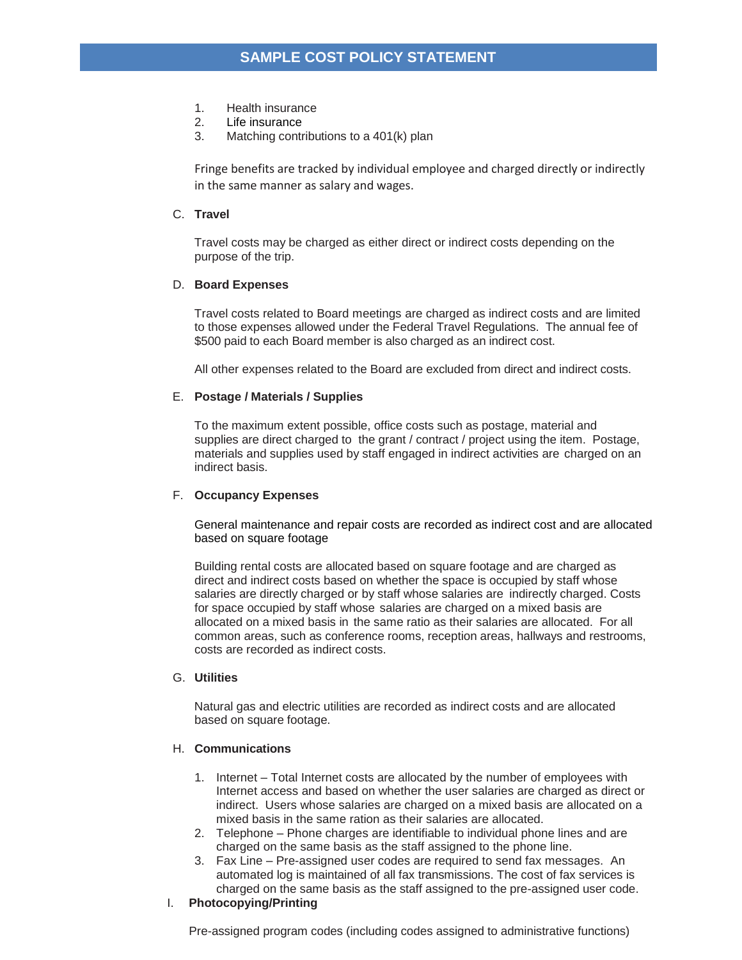- 1. Health insurance
- 2. Life insurance
- 3. Matching contributions to a 401(k) plan

Fringe benefits are tracked by individual employee and charged directly or indirectly in the same manner as salary and wages.

#### C. **Travel**

Travel costs may be charged as either direct or indirect costs depending on the purpose of the trip.

## D. **Board Expenses**

Travel costs related to Board meetings are charged as indirect costs and are limited to those expenses allowed under the Federal Travel Regulations. The annual fee of \$500 paid to each Board member is also charged as an indirect cost.

All other expenses related to the Board are excluded from direct and indirect costs.

## E. **Postage / Materials / Supplies**

To the maximum extent possible, office costs such as postage, material and supplies are direct charged to the grant / contract / project using the item. Postage, materials and supplies used by staff engaged in indirect activities are charged on an indirect basis.

#### F. **Occupancy Expenses**

General maintenance and repair costs are recorded as indirect cost and are allocated based on square footage

Building rental costs are allocated based on square footage and are charged as direct and indirect costs based on whether the space is occupied by staff whose salaries are directly charged or by staff whose salaries are indirectly charged. Costs for space occupied by staff whose salaries are charged on a mixed basis are allocated on a mixed basis in the same ratio as their salaries are allocated. For all common areas, such as conference rooms, reception areas, hallways and restrooms, costs are recorded as indirect costs.

#### G. **Utilities**

Natural gas and electric utilities are recorded as indirect costs and are allocated based on square footage.

#### H. **Communications**

- 1. Internet Total Internet costs are allocated by the number of employees with Internet access and based on whether the user salaries are charged as direct or indirect. Users whose salaries are charged on a mixed basis are allocated on a mixed basis in the same ration as their salaries are allocated.
- 2. Telephone Phone charges are identifiable to individual phone lines and are charged on the same basis as the staff assigned to the phone line.
- 3. Fax Line Pre-assigned user codes are required to send fax messages. An automated log is maintained of all fax transmissions. The cost of fax services is charged on the same basis as the staff assigned to the pre-assigned user code.

# I. **Photocopying/Printing**

Pre-assigned program codes (including codes assigned to administrative functions)